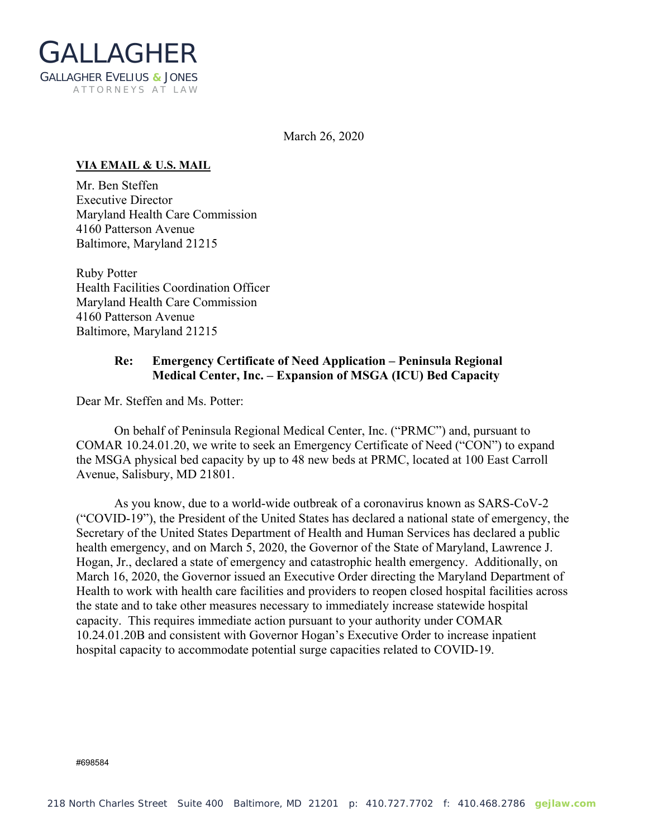

March 26, 2020

## **VIA EMAIL & U.S. MAIL**

Mr. Ben Steffen Executive Director Maryland Health Care Commission 4160 Patterson Avenue Baltimore, Maryland 21215

Ruby Potter Health Facilities Coordination Officer Maryland Health Care Commission 4160 Patterson Avenue Baltimore, Maryland 21215

## **Re: Emergency Certificate of Need Application – Peninsula Regional Medical Center, Inc. – Expansion of MSGA (ICU) Bed Capacity**

Dear Mr. Steffen and Ms. Potter:

On behalf of Peninsula Regional Medical Center, Inc. ("PRMC") and, pursuant to COMAR 10.24.01.20, we write to seek an Emergency Certificate of Need ("CON") to expand the MSGA physical bed capacity by up to 48 new beds at PRMC, located at 100 East Carroll Avenue, Salisbury, MD 21801.

As you know, due to a world-wide outbreak of a coronavirus known as SARS-CoV-2 ("COVID-19"), the President of the United States has declared a national state of emergency, the Secretary of the United States Department of Health and Human Services has declared a public health emergency, and on March 5, 2020, the Governor of the State of Maryland, Lawrence J. Hogan, Jr., declared a state of emergency and catastrophic health emergency. Additionally, on March 16, 2020, the Governor issued an Executive Order directing the Maryland Department of Health to work with health care facilities and providers to reopen closed hospital facilities across the state and to take other measures necessary to immediately increase statewide hospital capacity. This requires immediate action pursuant to your authority under COMAR 10.24.01.20B and consistent with Governor Hogan's Executive Order to increase inpatient hospital capacity to accommodate potential surge capacities related to COVID-19.

#698584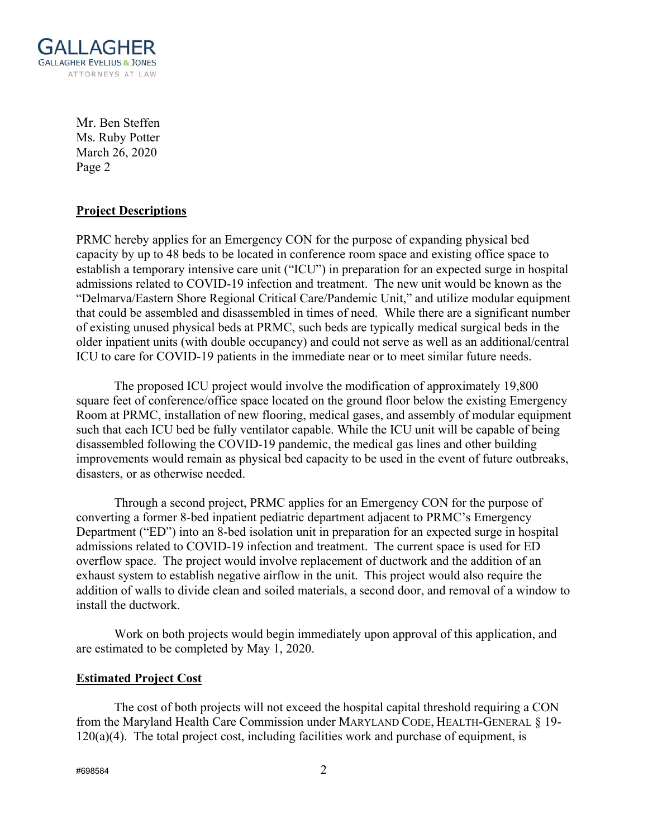

Mr. Ben Steffen Ms. Ruby Potter March 26, 2020 Page 2

## **Project Descriptions**

PRMC hereby applies for an Emergency CON for the purpose of expanding physical bed capacity by up to 48 beds to be located in conference room space and existing office space to establish a temporary intensive care unit ("ICU") in preparation for an expected surge in hospital admissions related to COVID-19 infection and treatment. The new unit would be known as the "Delmarva/Eastern Shore Regional Critical Care/Pandemic Unit," and utilize modular equipment that could be assembled and disassembled in times of need. While there are a significant number of existing unused physical beds at PRMC, such beds are typically medical surgical beds in the older inpatient units (with double occupancy) and could not serve as well as an additional/central ICU to care for COVID-19 patients in the immediate near or to meet similar future needs.

The proposed ICU project would involve the modification of approximately 19,800 square feet of conference/office space located on the ground floor below the existing Emergency Room at PRMC, installation of new flooring, medical gases, and assembly of modular equipment such that each ICU bed be fully ventilator capable. While the ICU unit will be capable of being disassembled following the COVID-19 pandemic, the medical gas lines and other building improvements would remain as physical bed capacity to be used in the event of future outbreaks, disasters, or as otherwise needed.

Through a second project, PRMC applies for an Emergency CON for the purpose of converting a former 8-bed inpatient pediatric department adjacent to PRMC's Emergency Department ("ED") into an 8-bed isolation unit in preparation for an expected surge in hospital admissions related to COVID-19 infection and treatment. The current space is used for ED overflow space. The project would involve replacement of ductwork and the addition of an exhaust system to establish negative airflow in the unit. This project would also require the addition of walls to divide clean and soiled materials, a second door, and removal of a window to install the ductwork.

Work on both projects would begin immediately upon approval of this application, and are estimated to be completed by May 1, 2020.

## **Estimated Project Cost**

The cost of both projects will not exceed the hospital capital threshold requiring a CON from the Maryland Health Care Commission under MARYLAND CODE, HEALTH-GENERAL § 19-  $120(a)(4)$ . The total project cost, including facilities work and purchase of equipment, is

 $\#$ 698584 2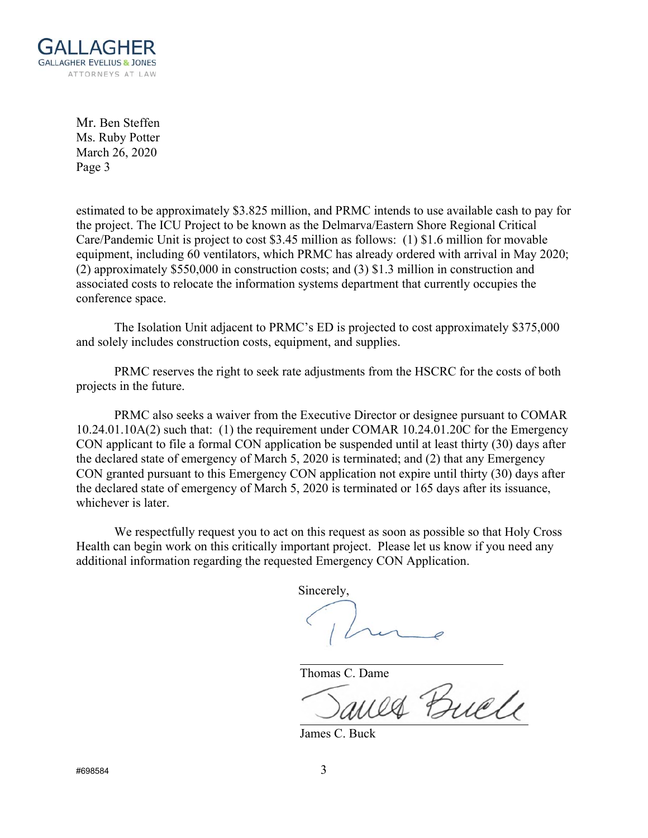

Mr. Ben Steffen Ms. Ruby Potter March 26, 2020 Page 3

estimated to be approximately \$3.825 million, and PRMC intends to use available cash to pay for the project. The ICU Project to be known as the Delmarva/Eastern Shore Regional Critical Care/Pandemic Unit is project to cost \$3.45 million as follows: (1) \$1.6 million for movable equipment, including 60 ventilators, which PRMC has already ordered with arrival in May 2020; (2) approximately \$550,000 in construction costs; and (3) \$1.3 million in construction and associated costs to relocate the information systems department that currently occupies the conference space.

The Isolation Unit adjacent to PRMC's ED is projected to cost approximately \$375,000 and solely includes construction costs, equipment, and supplies.

PRMC reserves the right to seek rate adjustments from the HSCRC for the costs of both projects in the future.

 PRMC also seeks a waiver from the Executive Director or designee pursuant to COMAR 10.24.01.10A(2) such that: (1) the requirement under COMAR 10.24.01.20C for the Emergency CON applicant to file a formal CON application be suspended until at least thirty (30) days after the declared state of emergency of March 5, 2020 is terminated; and (2) that any Emergency CON granted pursuant to this Emergency CON application not expire until thirty (30) days after the declared state of emergency of March 5, 2020 is terminated or 165 days after its issuance, whichever is later.

We respectfully request you to act on this request as soon as possible so that Holy Cross Health can begin work on this critically important project. Please let us know if you need any additional information regarding the requested Emergency CON Application.

Sincerely,

Thomas C. Dame

Janes Buele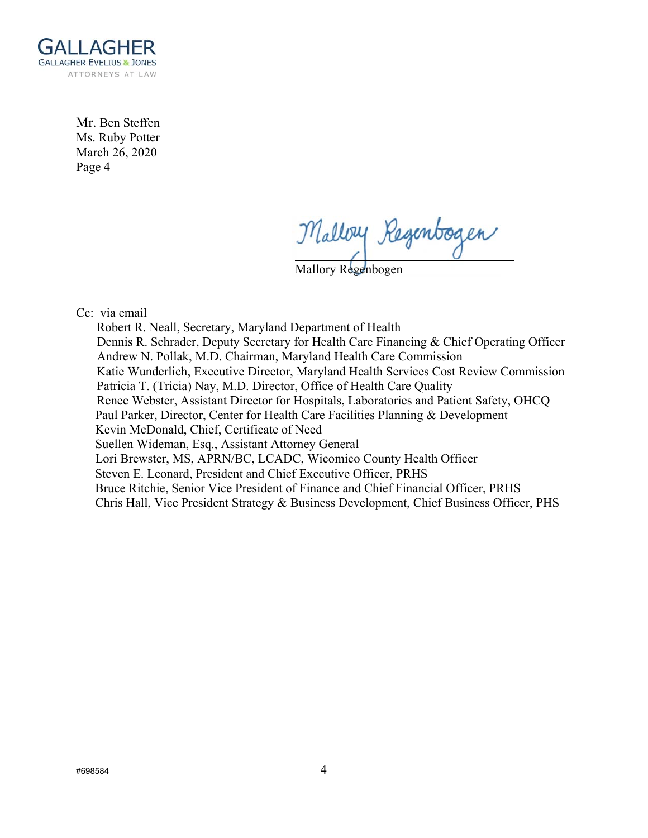

Mr. Ben Steffen Ms. Ruby Potter March 26, 2020 Page 4

Malloy Regenbogen

Mallory Regenbogen

Cc: via email

 Robert R. Neall, Secretary, Maryland Department of Health Dennis R. Schrader, Deputy Secretary for Health Care Financing & Chief Operating Officer Andrew N. Pollak, M.D. Chairman, Maryland Health Care Commission Katie Wunderlich, Executive Director, Maryland Health Services Cost Review Commission Patricia T. (Tricia) Nay, M.D. Director, Office of Health Care Quality Renee Webster, Assistant Director for Hospitals, Laboratories and Patient Safety, OHCQ Paul Parker, Director, Center for Health Care Facilities Planning & Development Kevin McDonald, Chief, Certificate of Need Suellen Wideman, Esq., Assistant Attorney General Lori Brewster, MS, APRN/BC, LCADC, Wicomico County Health Officer Steven E. Leonard, President and Chief Executive Officer, PRHS Bruce Ritchie, Senior Vice President of Finance and Chief Financial Officer, PRHS Chris Hall, Vice President Strategy & Business Development, Chief Business Officer, PHS